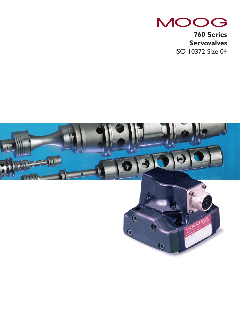

**760 Series Servovalves** ISO 10372 Size 04

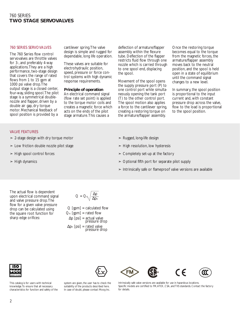# 760 SERIES **TWO STAGE SERVOVALVES**

## 760 SERIES SERVOVALVES

The 760 Series flow control servovalves are throttle valves for 3-, and preferably 4-way applications.They are a high performance, two-stage design that covers the range of rated flows from 1 to 15 gpm at 1000 psi valve drop.The output stage is a closed center, four-way, sliding spool.The pilot stage is a symmetrical doublenozzle and flapper, driven by a double air gap, dry torque motor. Mechanical feedback of spool position is provided by a

cantilever spring.The valve design is simple and rugged for dependable, long life operation.

These valves are suitable for electrohydraulic position, speed, pressure or force control systems with high dynamic response requirements.

#### **Principle of operation**

An electrical command signal (flow rate set point) is applied to the torque motor coils and creates a magnetic force which acts on the ends of the pilot stage armature.This causes a

deflection of armature/flapper assembly within the flexure tube. Deflection of the flapper restricts fluid flow through one nozzle which is carried through to one spool end, displacing the spool.

Movement of the spool opens the supply pressure port (P) to one control port while simultaneously opening the tank port (T) to the other control port. The spool motion also applies a force to the cantilever spring, creating a restoring torque on the armature/flapper assembly.

Once the restoring torque becomes equal to the torque from the magnetic forces, the armature/flapper assembly moves back to the neutral position, and the spool is held open in a state of equilibrium until the command signal changes to a new level.

In summary, the spool position is proportional to the input current and, with constant pressure drop across the valve, flow to the load is proportional to the spool position.

#### VALVE FEATURES

- $\geq$  2-stage design with dry torque motor
- ➣ Low friction double nozzle pilot stage
- $>$  High spool control forces
- $>$  High dynamics
- $\geq$  Rugged, long-life design
- $>$  High resolution, low hysteresis
- $\geq$  Completely set-up at the factory
- $>$  Optional fifth port for separate pilot supply
- ➣ Intrinsically safe or flameproof valve versions are available

The actual flow is dependent upon electrical command signal and valve pressure drop.The flow for a given valve pressure drop can be calculated using the square root function for sharp edge orifices:

 $Q = Q_N$  $\Delta p_N$ 

 $Q$  [gpm] = calculated flow  $Q_N$  [gpm] = rated flow <sup>∆</sup>p [psi] = actual valve pressure drop  $\Delta p_N$  [psi] = rated valve<br>pressure drop



This catalog is for users with technical knowledge.To ensure that all necessary characteristics for function and safety of the system are given, the user has to check the suitability of the products described here. In case of doubt, please contact Moog Inc.





Intrinsically safe valve versions are available for use in hazardous locations. Specific models are certified to FM,ATEX, CSA, and TIIS standards. Contact the factory for details.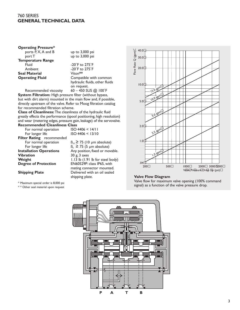# 760 SERIES **GENERAL TECHNICAL DATA**

## **Operating Pressure\*** ports  $\overline{P}$ ,  $X$ ,  $A$  and  $B$  up to 3,000 psi port T up to 3,000 psi **Temperature Range** Fluid -20°F to 275°F

**Seal Material<br>Operating Fluid** 

Ambient -20˚F to 275˚F **Compatible with common** hydraulic fluids, other fluids on request.

Recommended viscosity 60 – 450 SUS @ 100°F **System Filtration:** High pressure filter (without bypass, but with dirt alarm) mounted in the main flow and, if possible, directly upstream of the valve. Refer to Moog filtration catalog for recommended filtration scheme.

**Class of Cleanliness:** The cleanliness of the hydraulic fluid greatly effects the performance (spool positioning, high resolution) and wear (metering edges, pressure gain, leakage) of the servovalve. **Recommended Cleanliness Class**<br>For normal operation ISO 4406 < 14/11

For normal operation For longer life ISO 4406 < 13/10 **Filter Rating** recommended For normal operation  $B_{10} \ge 75$  (10 µm absolute)<br>For longer life  $B_5 \ge 75$  (5 µm absolute) For longer life  $B_5 \ge 75$  (5 µm absolute)<br>**Installation Operations** Any position, fixed or mo **Installation Operations** Any position, fixed or movable.<br>**Vibration** 30 g, 3 axes **Vibration** 30 g, 3 axes<br> **Weight** 1.13 lb (1.9) **Weight** 1.13 lb (1.91 lb for steel body)<br> **Degree of Protection** EN60529P: class IP65, with

EN60529P: class IP65, with mating connector mounted. **Shipping Plate** Delivered with an oil sealed shipping plate.

\* Maximum special order is 8,000 psi

\* \* Other seal material upon request



## **Valve Flow Diagram**

Valve flow for maximum valve opening (100% command signal) as a function of the valve pressure drop.

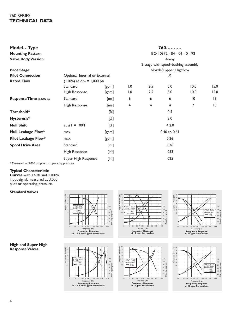# 760 SERIES **TECHNICAL DATA**

| ModelType<br><b>Mounting Pattern</b> |                                          |                         |                                     |                          | $760$ -<br>ISO 10372 - 04 - 04 - 0 - 92 |      |      |  |  |  |  |
|--------------------------------------|------------------------------------------|-------------------------|-------------------------------------|--------------------------|-----------------------------------------|------|------|--|--|--|--|
| <b>Valve Body Version</b>            |                                          |                         | 4-way                               |                          |                                         |      |      |  |  |  |  |
|                                      |                                          |                         | 2-stage with spool-bushing assembly |                          |                                         |      |      |  |  |  |  |
| <b>Pilot Stage</b>                   |                                          |                         |                                     | Nozzle/Flapper, Highflow |                                         |      |      |  |  |  |  |
| <b>Pilot Connection</b>              | Optional, Internal or External           |                         |                                     | X                        |                                         |      |      |  |  |  |  |
| <b>Rated Flow</b>                    | $(\pm 10\%)$ at $\Delta p_N = 1,000$ psi |                         |                                     |                          |                                         |      |      |  |  |  |  |
|                                      | Standard                                 | [gpm]                   | 1.0                                 | 2.5                      | 5.0                                     | 10.0 | 15.0 |  |  |  |  |
|                                      | High Response                            | [gpm]                   | 1.0                                 | 2.5                      | 5.0                                     | 10.0 | 15.0 |  |  |  |  |
| Response Time @ 3000 psi             | Standard                                 | [ms]                    | 6                                   | 6                        | 6                                       | 10   | 16   |  |  |  |  |
|                                      | High Response                            | [ms]                    | 4                                   | 4                        | 4                                       | 7    | 3    |  |  |  |  |
| Threshold*                           |                                          | $[\%]$                  |                                     |                          | 0.5                                     |      |      |  |  |  |  |
| Hysteresis*                          |                                          | [%]                     |                                     |                          | 3.0                                     |      |      |  |  |  |  |
| <b>Null Shift</b>                    | at $\Delta T = 100$ °F                   | $[\%]$                  |                                     |                          | < 2.0                                   |      |      |  |  |  |  |
| <b>Null Leakage Flow*</b>            | max.                                     | [gpm]                   |                                     |                          | 0.40 to 0.61                            |      |      |  |  |  |  |
| <b>Pilot Leakage Flow*</b>           | max.                                     | [gpm]                   |                                     |                          | 0.26                                    |      |      |  |  |  |  |
| <b>Spool Drive Area</b>              | Standard                                 | $[$ in <sup>2</sup> $]$ |                                     |                          | .076                                    |      |      |  |  |  |  |
|                                      | High Response                            | $[$ in <sup>2</sup> $]$ |                                     |                          | .053                                    |      |      |  |  |  |  |
|                                      | Super High Response                      | $[in^2]$                |                                     |                          | .025                                    |      |      |  |  |  |  |
|                                      |                                          |                         |                                     |                          |                                         |      |      |  |  |  |  |

\* Measured at 3,000 psi pilot or operating pressure

## **Typical Characteristic**

**Curves** with ±40% and ±100% input signal, measured at 3,000 pilot or operating pressure.

# **Standard Valves**



20 30 50 70 100 200 300 500 1000<br>
Frequency Response<br> **Frequency Response**<br> **of 1, 2.5, and 5 gpm Servovalves** 

-10 -6 -2 +2 0 -4 Amplitude Ratio (dB) -8

 $3000 \text{ ns}$ at 100˚F (38˚C) Rated Current: ±100% ±40%

10

+2 0 Amplitude Ratio (dB) -2 -4 120 -6 3000 psi DTE-24 at 100˚F (38˚C)  $\mathbb{R}$ 100 -8 Rated Current: 80 gg Phase lag (degrees) -10 ±40%  $\frac{1}{6}$ ±100%  $\pm$  $\top$ I٨ 20 40 Ŧ 10 20 30 50 70 100 200 300 500 1000<br>Frequency (Hz) **Frequency Response of 10 gpm Servovalves**



Phase lag (degrees)

80<br>60<br>40<br>20

 $\Box$ 

100 120



20 30 50 70 100 200 300 500 1000<br>Frequency (Hz)

**Frequency Response of 15 gpm Servovalves**

Phase lag (degrees)

ag

<sup>20</sup> ase 40 60 80 .<br>۱00 120

3000 psi DTE-24 at 100˚F (38˚C) Rated Current: ±100% ±40%

-10 -6 -2 +2 0 -4 Amplitude Ratio (dB) -8

10

# **High and Super High Response Valves**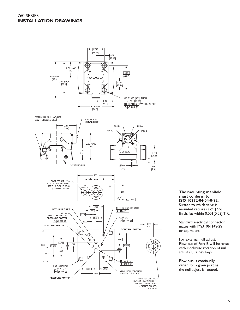# 760 SERIES **INSTALLATION DRAWINGS**



**The mounting manifold must conform to ISO 10372-04-04-0-92.** Surface to which valve is

mounted requires a  $\frac{32}{2}$  [ΔΔ] finish, flat within 0.001[0.03] TIR.

Standard electrical connector mates with MS3106F14S-2S or equivalent.

For external null adjust: Flow out of Port B will increase with clockwise rotation of null adjust (3/32 hex key)

Flow bias is continually varied for a given port as the null adjust is rotated.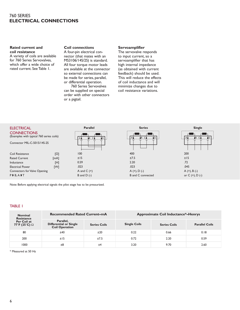# 760 SERIES **ELECTRICAL CONNECTIONS**

## **Rated current and coil resistance**

A variety of coils are available for 760 Series Servovalves, which offer a wide choice of rated current. See Table 1.

# **Coil connections**

A four-pin electrical connector (that mates with an MS3106/14S/2S) is standard. All four torque motor leads are available at the connector so external connections can be made for series, parallel, or differential operation.

760 Series Servovalves can be supplied on special order with other connectors or a pigtail.

#### **Servoamplifier**

The servovalve responds to input current, so a servoamplifier that has high internal impedance (as obtained with current feedback) should be used. This will reduce the effects of coil inductance and will minimize changes due to coil resistance variations.



Note: Before applying electrical signals the pilot stage has to be pressurized.

## TABLE 1

| <b>Nominal</b><br><b>Resistance</b> | <b>Recommended Rated Current-mA</b>                          |                     | <b>Approximate Coil Inductance*-Henrys</b> |                     |                       |  |  |  |
|-------------------------------------|--------------------------------------------------------------|---------------------|--------------------------------------------|---------------------|-----------------------|--|--|--|
| Per Coil at<br>77°F (25°C) $\Omega$ | Parallel,<br><b>Differential or Single</b><br>Coil Operation | <b>Series Coils</b> | <b>Single Coils</b>                        | <b>Series Coils</b> | <b>Parallel Coils</b> |  |  |  |
| 80                                  | ±40                                                          | ±20                 | 0.22                                       | 0.66                | 0.18                  |  |  |  |
| 200                                 | ±15                                                          | ±7.5                | 0.72                                       | 2.20                | 0.59                  |  |  |  |
| 1000                                | ±8                                                           | ±4                  | 3.20                                       | 9.70                | 2.60                  |  |  |  |

\* Measured at 50 Hz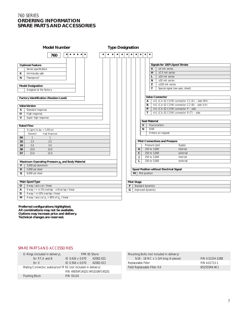# 760 SERIES **ORDERING INFORMATION SPARE PARTS AND ACCESSORIES**

| <b>Model Number</b>                                  |                                                                                                                                                         | <b>Type Designation</b> |           |           |           |           |           |           |                    |              |              |                      |                                              |
|------------------------------------------------------|---------------------------------------------------------------------------------------------------------------------------------------------------------|-------------------------|-----------|-----------|-----------|-----------|-----------|-----------|--------------------|--------------|--------------|----------------------|----------------------------------------------|
|                                                      | $\begin{array}{cccccccccccccc} \bullet & \bullet & \bullet & \bullet & \bullet & \bullet & \bullet & \bullet & \bullet \end{array}$<br>$\bullet$<br>760 |                         | $\bullet$ | $\bullet$ | $\bullet$ | $\bullet$ | $\bullet$ | $\bullet$ | $\bullet$          | $\bullet$    | $\bullet$    | $\bullet$            |                                              |
|                                                      |                                                                                                                                                         |                         |           |           |           |           |           |           |                    |              |              |                      |                                              |
|                                                      | <b>Optional Feature</b>                                                                                                                                 |                         |           |           |           |           |           |           |                    |              |              |                      | Signals for 100% Spool Stroke                |
|                                                      | Series specification                                                                                                                                    |                         |           |           |           |           |           |           |                    |              |              | 4                    | $±4$ mA series                               |
| К                                                    | Intrinsically safe                                                                                                                                      |                         |           |           |           |           |           |           |                    |              |              | н                    | $±7.5$ mA series                             |
| N                                                    | Flameproof                                                                                                                                              |                         |           |           |           |           |           |           |                    |              |              | L                    | $±20$ mA series                              |
|                                                      |                                                                                                                                                         |                         |           |           |           |           |           |           |                    |              |              | N                    | $±30$ mA series                              |
|                                                      | <b>Model Designation</b>                                                                                                                                |                         |           |           |           |           |           |           |                    |              |              | Z                    | $±100$ mA series                             |
|                                                      | Assigned at the factory                                                                                                                                 |                         |           |           |           |           |           |           |                    |              |              | Υ                    | Special signal (see spec. sheet)             |
|                                                      |                                                                                                                                                         |                         |           |           |           |           |           |           |                    |              |              |                      |                                              |
|                                                      | <b>Factory Identification (Revision Level)</b>                                                                                                          |                         |           |           |           |           |           |           |                    |              |              |                      | <b>Valve Connector</b>                       |
|                                                      |                                                                                                                                                         |                         |           |           |           |           |           |           |                    |              |              | А                    | 4-G (CA 02 COM) connector C1 (A) - side (RH) |
|                                                      | <b>Valve Version</b>                                                                                                                                    |                         |           |           |           |           |           |           |                    |              |              | в                    | 4-G (CA 02 COM) connector C2 (B) - side (LH) |
| S                                                    | Standard response                                                                                                                                       |                         |           |           |           |           |           |           |                    |              |              | P                    | 4-G (CA 02 COM) connector P - side           |
| н                                                    | High response                                                                                                                                           |                         |           |           |           |           |           |           |                    |              |              | т                    | 4-G (CA 02 COM) connector R (T) – side       |
| $\mathsf{V}$                                         | Super high response                                                                                                                                     |                         |           |           |           |           |           |           |                    |              |              |                      |                                              |
|                                                      |                                                                                                                                                         |                         |           |           |           |           |           |           |                    |              |              | <b>Seal Material</b> |                                              |
|                                                      | <b>Rated Flow</b>                                                                                                                                       |                         |           |           |           |           |           |           |                    |              | $\mathsf{V}$ |                      | Fluorocarbon                                 |
|                                                      | $Q_N$ [gpm] at $\Delta p_N = 1,000$ psi                                                                                                                 |                         |           |           |           |           |           |           |                    |              | N            | <b>NBR</b>           |                                              |
|                                                      | Standard<br><b>High Response</b>                                                                                                                        |                         |           |           |           |           |           |           |                    |              |              |                      | Others on request                            |
| 04                                                   | $\mathbf{1}$<br>$\overline{1}$                                                                                                                          |                         |           |           |           |           |           |           |                    |              |              |                      |                                              |
| 10                                                   | 2.5<br>2.5                                                                                                                                              |                         |           |           |           |           |           |           |                    |              |              |                      | <b>Pilot Connections and Pressure</b>        |
| 19                                                   | 5.0<br>5.0                                                                                                                                              |                         |           |           |           |           |           |           |                    |              |              | Pressure [psi]       | Supply                                       |
| 38                                                   | 10.0<br>10.0                                                                                                                                            |                         |           |           |           |           |           |           |                    | А            |              | 250 to 3,000         | internal                                     |
| 57                                                   | 15.0<br>15.0                                                                                                                                            |                         |           |           |           |           |           |           |                    | $\mathsf{C}$ |              | 250 to 3,000         | external                                     |
|                                                      |                                                                                                                                                         |                         |           |           |           |           |           |           |                    | J            |              | 250 to 5,000         | internal                                     |
|                                                      | Maximum Operating Pressure p <sub>p</sub> and Body Material                                                                                             |                         |           |           |           |           |           |           |                    | L            |              | 250 to 5,000         | external                                     |
| F                                                    | 3,000 psi aluminum                                                                                                                                      |                         |           |           |           |           |           |           |                    |              |              |                      |                                              |
| ĸ                                                    | 5,000 psi steel                                                                                                                                         |                         |           |           |           |           |           |           |                    |              |              |                      | Spool Position without Electrical Signal     |
| Q                                                    | 8,000 psi steel                                                                                                                                         |                         |           |           |           |           |           |           | M                  |              |              | Mid position         |                                              |
|                                                      |                                                                                                                                                         |                         |           |           |           |           |           |           |                    |              |              |                      |                                              |
|                                                      | <b>Main Spool Type</b>                                                                                                                                  |                         |           |           |           |           |           |           | <b>Pilot Stage</b> |              |              |                      |                                              |
| 4-way / axis cut / linear<br>$\circ$                 |                                                                                                                                                         |                         |           |           | F         |           |           |           | Standard dynamics  |              |              |                      |                                              |
| 4-way / < +/-3% overlap - critical lap / linear<br>А |                                                                                                                                                         |                         |           |           | G         |           |           |           | Improved dynamics  |              |              |                      |                                              |
| D                                                    | 4-way / +/-10% overlap / linear                                                                                                                         |                         |           |           |           |           |           |           |                    |              |              |                      |                                              |
| $\overline{M}$                                       | 4-way / axis cut $p_c > 80\%$ of $p_p$ / linear                                                                                                         |                         |           |           |           |           |           |           |                    |              |              |                      |                                              |

**Preferred configurations highlighted. All combinations may not be available. Options may increase price and delivery. Technical changes are reserved.**

## SPARE PARTS AND ACCESSORIES

| O-Rings (included in delivery), |                                                               | FPM 85 Shore                   |           |  |  |  |  |
|---------------------------------|---------------------------------------------------------------|--------------------------------|-----------|--|--|--|--|
|                                 | for P.T.A and B                                               | ID 0.426 x 0.070               | 42082-022 |  |  |  |  |
|                                 | for $X$                                                       | ID 0.364 x 0.070               | 42082-013 |  |  |  |  |
|                                 | Mating Connector, waterproof IP 65 (not included in delivery) |                                |           |  |  |  |  |
|                                 |                                                               | P/N 49054F14S2S (MS3106F14S2S) |           |  |  |  |  |
|                                 | <b>Flushing Block</b>                                         | P/N 55124                      |           |  |  |  |  |

| Mounting Bolts (not included in delivery) |                 |  |  |  |
|-------------------------------------------|-----------------|--|--|--|
| 5/16 - 18 NC x 1-3/4 long (4 pieces)      | P/N A31324-228B |  |  |  |
| Replaceable Filter                        | P/N A01713-1    |  |  |  |
| Field Replaceable Filter Kit              | B52555RK4K1     |  |  |  |